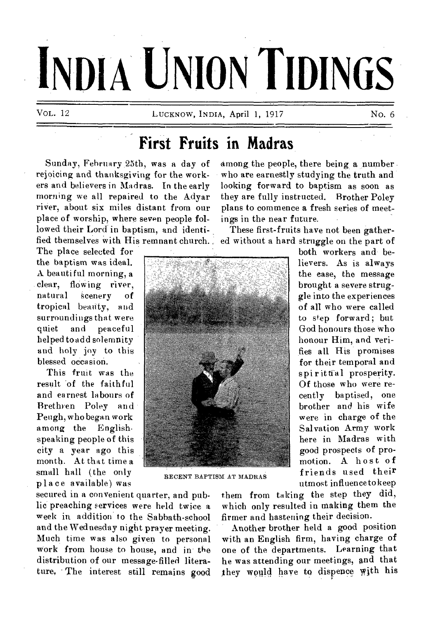# **INDIA UNION TIDINGS**

VOL. 12 LUCKNOW, INDIA, April 1, 1917 No. 6

# **First Fruits in Madras**

Sunday, Fehruary 25th, was a day of rejoicing and thanksgiving for the workers and believers in Madras. In the early morning we all repaired to the Adyar river, about six miles distant from our place of worship, where seven people followed their Lord in baptism, and identified themselves with His remnant church.

The place selected for the baptism was ideal. A beautiful morning, a clear, flowing river, natural scenery of tropical beauty, and surroundings that were quiet and peaceful helped to add solemnity and holy joy to this blessed occasion.

This fruit was the result of the faith ful and earnest labours of Brethren Poley and Peugh, who began work among the English. speaking people of this city a year ago this month. At that time a small hall (the only place available) was

among the people, there being a number who are earnestly studying the truth and looking forward to baptism as soon as they are fully instructed. Brother Poley plans to commence a fresh series of meetings in the near future.

These first-fruits have not been gathered without a hard struggle on the part of

> both workers and believers. As is always the ease, the message brought a severe struggle into the experiences of all who were called to step forward; but God honours those who honour Him, and verifies all His promises for their temporal and spiritual prosperity. Of those who were recently baptised, one brother and his wife were in charge of the Salvation Army work here in Madras with good prospects of promotion. A host of friends used their utmost influence to keep



RECENT BAPTISM AT MADRAS

secured in a convenient quarter, and public preaching services were held twice a week in addition to the Sabbath-school and the Wednesday night prayer meeting. Much time was also given to personal work from house to house, and in the distribution of our message-filled literature, The interest still remains good

them from taking the step they did, which only resulted in making them the firmer and hastening their decision.

Another brother held a good position with an English firm, having charge of one of the departments. Learning that he was attending our meetings, and that they would have to dispence with his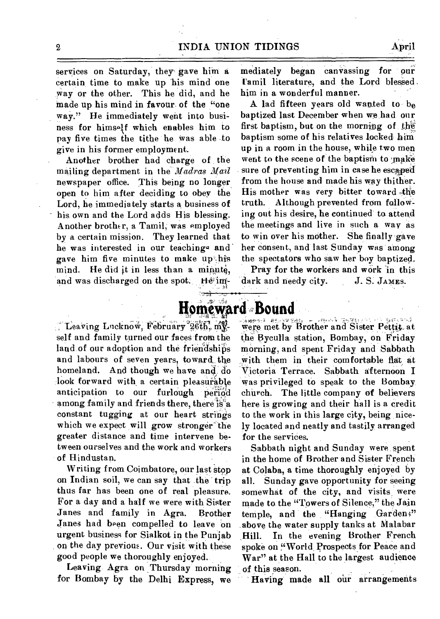services on Saturday, they gave him a certain, time to make up his mind one way or the other. This he did, and he made up his mind in favour, of the "one way." He immediately went into business for himself which enables him to pay five times the tithe he was able to give in his former employment.

Another brother had charge of the mailing department in the *Madras Mail* newspaper office. This being no longer open to him after deciding to obey the Lord, he immediately starts a business of his own and the Lord adds His blessing. Another brother, a Tamil, was employed by a certain mission. They learned that he was interested in our teachings and gave him five minutes to make upship mind. He did it in less than a minute, and was discharged on the spot. He'im-

mediately began canvassing for our Tamil literature, and the Lord blessed. him in a wonderful manner.

A lad fifteen years old wanted to  $b_{\theta}$ baptized last December when we had our first baptism, but on the morning of the baptism some of his relatives locked him up in a room in the house, while two men went to the scene of the baptism to make sure of preventing him in case he escaped from the house and made his way thither.  $H$ is mother was very bitter toward the truth. Although prevented from following out his desire, he continued to. attend the meetings and live in such a way as to win over his mother. She finally gave her consent, and last Sunday was among the spectators who saw her boy baptized.

Pray for the workers and work in this dark and needy city. J. S. JAMES.

## ය .**ල**ෙග් omeward **Bound**

Leaving Lucknow, February  $26th$ ,  $m_{X}$ self and family turned our faces from the land of our adoption and the friendships and labours of seven years, toward the homeland. And though we have and do look forward with a certain pleasurable<br>anticipation to our furlough period anticipation to our furlough among family and friends there, there is a constant tugging at our heart strings which we expect will grow stronger the greater distance and time intervene between ourselves and the work and workers of Hindustan.

Writing from Coimbatore, our last stop on Indian soil, we can say that .the trip thus far has been one of real pleasure. For a day and a half we were with Sister Janes and family in Agra. Brother Janes had been compelled to leave on urgent business for Sialkot in the Punjab on the day previous. Our visit with these good people we thoroughly enjoyed.

Leaving Agra on Thursday morning for Bombay by the Delhi Express, we

were met by grother and Sister Petty. at the Byculla station, Bombay, on Friday morning, and spent Friday and Sabbath with them in their comfortable flat at Victoria Terrace. Sabbath afternoon I was privileged to speak to the Bombay church. The little company of believers here is growing and their hall is a credit to the work in this large city, being nicely located and neatly and tastily arranged for the services.

Sabbath night and Sunday were, spent in the home of Brother and Sister French at Colaba, a time thoroughly enjoyed by all. Sunday gave opportunity for seeing somewhat of the city, and visits were made to the "Towers of Silence," the Jain temple, and the "Hanging Gardens" above the water supply tanks at Malabar Hill. In the evening Brother French spoke on 'World, Prospects for Peace and War" at the Hall to the largest audience of this season.

Having made all our arrangements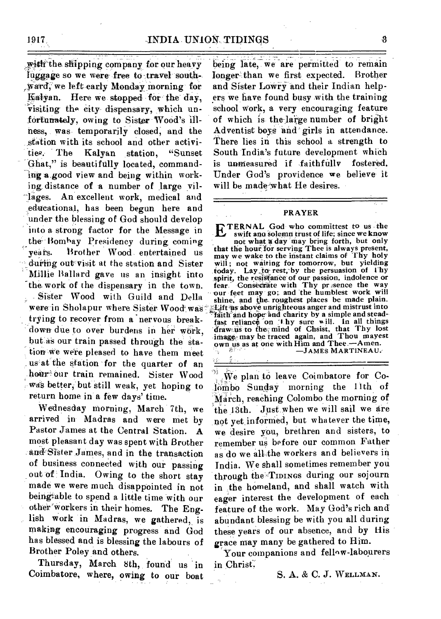with the shipping company for our heavy luggage so we were free to travel south-,Warck we left-early Monday—" inorning-for Kalyan. Here we stopped for the day, visiting the city dispensary, which unfortunately, owing to Sister-Wood's illness,. was- temporarily closed; and the station with its school and other activities. The Kalvan station, "Sunset" ties. The Kalyan station, Ghat," is beautifully located, commanding a good view and being within working distance of a number of large villages. An excellent work, medical and educational, has been begun here and under the blessing of God should develop into a strong factor for the Message in the- Bombay Presidency during. coming years. Brother Wood entertained us during out visit at the station and Sister Millie Ballard gave us an insight into the work of the dispensary in the town. - Sister Wood with Guild and Della were in Sholapur where Sister Wood was **Lift as above unrighteous anger and mistrust into** trying to recover from a "nervous break- 'down due to over burdens in her work, but as our train passed through the station we were pleased to have them meet us'af the station for the quarter of an hour our train remained. Sister Wood was better, but still weak, yet hoping to return home in' a few days' time.

Wednesday morning, March 7th, we arrived in Madras and were met by Pastor James at the Central Station. A most pleasant day was spent with Brother and Sister James, and in the transaction of business connected with our passing out of India. Owing to the short stay made we were much disappointed in not being able to spend a little time with our other'Workers in their homes. The English work in Madras, we gathered, is making encouraging progress and God has blessed and is blessing the labours of Brother Poley and others.

Thursday, March 8th, found us in Coimbatore, where, owing to our boat

•

heing late, we are permitted to remain longer-than we first expected. Brother and Sister Lawry and their Indian helpers we have found busy with the training school work, a very encouraging feature of which is the-large number of bright Adventist boys 'and' girls in attendance. There lies in this school a strength to South India's future development which is unmeasured if faithfully fostered. Under God's providence we believe it will be made what He desires.

#### **PRAYER**

**IDTERNAL** God who committest to us the swift and solemn trust of life; since we know not what **x** day may bring forth, but only **that the hour'for serving Thee is always present, may we wake to the instant claims of Thy holy will ; not waiting for tomorrow, but yielding .today. Lay ,to• rest,-by the persuasion of thy the resistance of our passion, indolence or spirit, the resistance of our passion, indolence or fear.** Consecrate with Thy pr sence the way our feet may go; and 'the humblest work will shine, and the roughest places be made plain. **• faith'and hope-and charity by a simple and stead**fast reliance on **I** hy sure will. In all things draw us to the mind of Chsist, that Thy lost **image' may be traced again, and Thou mayest own us as at one with Him and Thee.—Amen. —JAMES MARTINEAU:-** 

VÌ. we plan to leave Coimbatore for Co lombo Sunday morning the 11th of March, reaching Colombo the morning of the 13th. Just when we will sail we are not yet informed, but whatever the time, we desire you, brethren and sisters, to remember us before our common Father as do we all:the workers and believers in India. We shall sometimes remember you through the TIDINGS during our sojourn in the homeland, and shall watch with eager interest the development of each feature of the work. May God's rich and abundant blessing be with you all during these years of our absence, and by His grace may many be gathered to Him.

Your companions and fellow-labourers in chrisf;

S. A. & C. J. WELLMAN.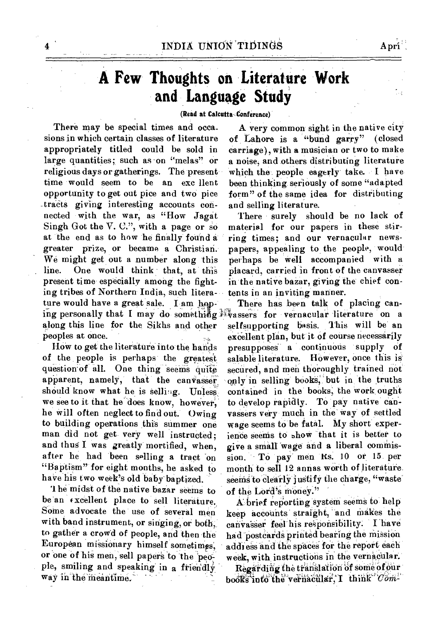# **A Few Thoughts on Literature Work and Language Study**

### **(Read at Calcutta Conference)**

There may be special times and occasions in which certain classes of literature appropriately titled could be sold in large quantities; such as on "melas" or religious days or gatherings. The present time would seem to be an exc llent opportunity to get out pice and two pice tracts giving interesting accounts connected with the war, as "How Jagat Singh Got the V. C.", with a page or so at the end as to how he finally found a greater prize, or became a Christian. We might get out a number along this line. One would think that, at this present time especially among the fighting tribes of Northern India, such literature would have a great sale. I am hopalong this line for the Sikhs and other peoples at once.

HOW to get the literature into the hands of the people is perhaps the greatest question of all. One thing seems quite apparent, namely, that the canvasser should know what he is selling. Unless we see to it that he does know, however, he will often neglect to find out. Owing to building operations this summer one man did not get. very well instructed; and thus I was greatly mortified, when, after he had been selling a tract on "Baptism" for eight months, he asked to have his two week's Old baby baptized.

1 he midst of the native bazar seems to be an excellent place to sell literature. Some advocate the use of several men with band instrument, or singing, or both, to gather a crowd of people, and then the European missionary himself sometimes; or one of his men, sell papers to the people, smiling and speaking in a friendly way in the meantime.

A very common sight in the native city of Lahore is a "bund garry" (closed carriage), with a musician or two to make a noise, and others distributing literature which the people eagerly take. I have been thinking seriously of some "adapted form" of the same idea for distributing and selling literature.

There surely should be no lack of material for our papers in these stirring times; and our vernacular newspapers, appealing to the people, would perhaps be well accompanied with a placard, carried in front of the canvasser in the native bazar, giving the chief contents in an inviting manner.

ing personally that I may do something *k*assers for vernacular literature on a There has been talk of placing canselfsupporting basis. This will be an excellent plan, but it of course necessarily presupposes a continuous supply of salable literature. HOwever, once this is' secured, and men thoroughly trained not only in selling bookS; but in the truths contained in the books, the work ought to develop rapidly. To pay native canvassers very much in the Way of settled wage seems to be fatal. My short experience seems to show "that it is better to give a small Wage and a liberal commission. To pay men Rs. 10 or 15 per month to sell 12 annas worth of literature. seems to clearly justify the charge, "waste of the Lord's money."

> A brief reporting system seems to help keep accounts straight, and makes the canvasser feel his responsibility. I have had postcards printed bearing the mission address and the spaces for the report each week, with instructions in the vernacular.

> Regarding the translation of some of our books into the vernacular, I think *Com-*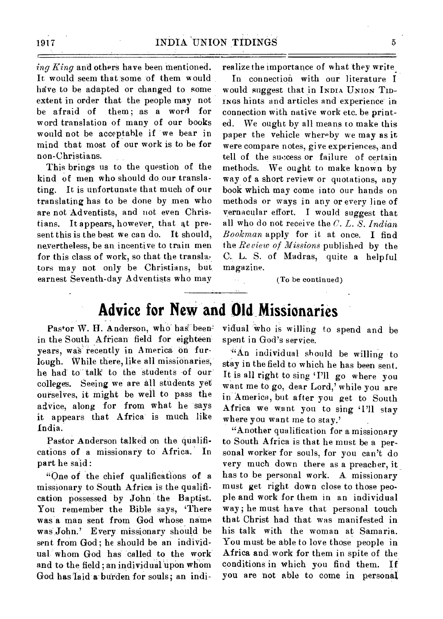*ing King* and others have been mentioned. It would seem that some of them would have to be adapted or changed to some extent in order that the people may not be afraid of them ; as a word for word translation of many of our books would not be acceptable if we bear in mind that most of our work is to be for non-Christians.

This brings us to the question of the kind of men who should do our translating. It is unfortunate that much of our translating has to be done by men who are not Adventists, and not even Christians. It appears, however, that at present this is the best we can do. It should, nevertheless, be an incentive to train men for this class of work, so that the translators may not only be Christians, but, earnest Seventh-day Adventists who may realize the importance of what they write

In connection with our literature I would suggest that in **INDIA UNION 'TID-INGS** hints and articles and experience in connection with native work etc. be printed. We ought by all means to make this paper the vehicle whereby we may as it were compare notes, give experiences; and tell of the success or failure of certain methods. We ought to make known by way of a short review or quotations, any book which may come into our hands on methods or ways in any or every line of vernacular effort. I would suggest that all who do not receive the C. *L. S. Indian Bookman* apply for it at once. I find the *Review of Missions* published by the C. L. S. of Madras, quite a helpful magazine.

(To be continued)

# **Advice for New and Old Missionaries**

Pastor W. H. Anderson, who' has beenin the South African field for eighteen years, was recently in America on furlough. While there, like all missionaries; he had to talk to the students of our colleges. Seeing we are all students yet ourselves, it might be well to pass the adVice, along for from what he says it appears that Africa is much like India.

Pastor Anderson talked on the qualifications of a missionary to Africa. In part he said :

"One of the chief qualifications of a missionary to South Africa is the qualification possessed by John the Baptist. You remember the Bible says, 'There was a man sent from God whose name was John.' Every missionary should be sent from God; he should be an individual whom God has called to the work and to the field; an individual upon whom God has laid a burden for souls; an individual Who is willing to spend and be spent in God's service.

-"An individual should be willing to stay in the field to which he has been sent. It is all right to sing 'I'll go where you want me to go, dear Lord, while you are in America, but after you get to South Africa we want you to sing 'I'll stay where you want me to stay.'

"Another qualification for a missionary to South Africa is that he must be a personal worker for souls, for you can't do very much down there as a preacher, it\_ has to be personal work. A missionary must get right down close to those people and work for them in an individual way ; he must have that personal touch that Christ had that was manifested in his talk with the woman at Samaria. You must be able to love those people in Africa and work for them in spite of the conditions in which you find them. If you are not able to come in personal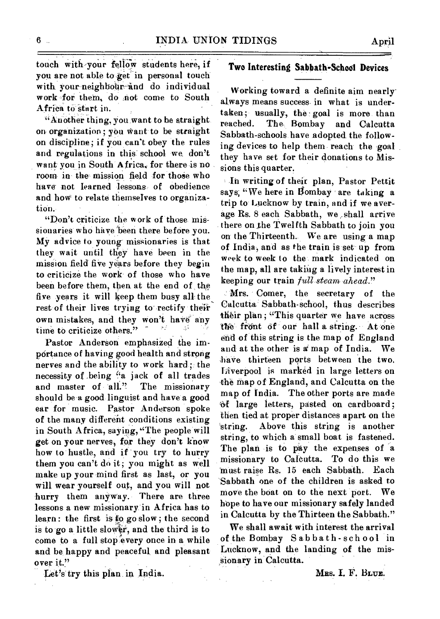touch with,your fellow students here, if Two Interesting **Sabbath-School Devices**  you are not able to get in personal touch<br>with your neighbour and do individual with your neighbour-and do individual Working toward a definite aim nearly work for them, do not come to South always means success in what is under-<br>Africa to start in.

"Another thing, you want to be straight. on discipline; if you can't obey the rules and regulations in this school we, don't they have set for their donations to Miswant you in South Africa, for there is no sions this quarter.

been before them, then at the end of the seeping our train just seem ahead.<br>
five years it will keep them busy all the Mrs. Comer, the secretary of the rest of their lives trying to rectify their their plan; "This quarter we have across own mistakes, and they won't have any their plan; "This quarter we have across time to criticize others."

portance of having good health and strong nerves and the ability to work hard; the<br>necessity of being "a jack of all trades necessity of .being 'a jack of all trades<br>and master of all." The missionary the map of England, and Calcutta on the<br>the map of India. The other ports are made should be a good linguist and have a good<br>ear for music. Pastor Anderson spoke should be a good inigural and have a good<br>ear for music. Pastor Anderson spoke<br>of the many different conditions existing then tied at proper distances apart on the in South Africa, saying, "The people will string.<br>get on your nerves, for they don't know string, how to hustle, and if you try to hurry The plan is to pay the expenses of a them you can't do it; you might as well missionary to Calcutta. To do this we make up your mind first as last, or you must raise Rs. 15 each Sabbath. Each will wear yourself out, and you will not hurry them anyway. There are three h lessons a new missionary in Africa has to hope to have our missionary safely landed<br>learn: the first is to go slow; the second in Calcutta by the Thirteen the Sabbath." is to go a little slower, and the third is to We shall await with interest the arrival<br>come to a full stop every once in a while of the Bombay Sabbath-school in come to a full stop every once in a while of the Bombay Sabbath-school in<br>and be happy and peaceful and pleasant Lucknow, and the landing of the misand be happy and peaceful, and pleasant over it." Sionary in Calcutta.

always means success in what is undertaken; usually, the goal is more than<br>reached. The Bombay and Calcutta on organization; you want to be straight Sabbath-schools have adopted the follow-<br>on discipline; if you can't obey the rules ing devices to help them reach the goal

room in the mission field for those who<br>have not learned lessons of obedience<br>and how to relate themselves to organiza-<br>trip to Lucknow by train, and if we aver-<br>"Don't criticize the work of those mis-<br>sionaries who have b

Calcutta Sabbath-school, thus describes the front of our hall a string. At one Pastor Anderson emphasized the im-<br>And at the other is a map of India. We have thirteen ports between the two.<br>Liverpool is marked in large letters on then tied at proper distances apart on the<br>string. Above this string is another string, to which a small boat is fastened.<br>The plan is to pay the expenses of a move the boat on to the next port. We in Calcutta by the Thirteen the Sabbath."<br>We shall await with interest the arrival

Let's try this plan in India. Mrs. I. F. BLUE.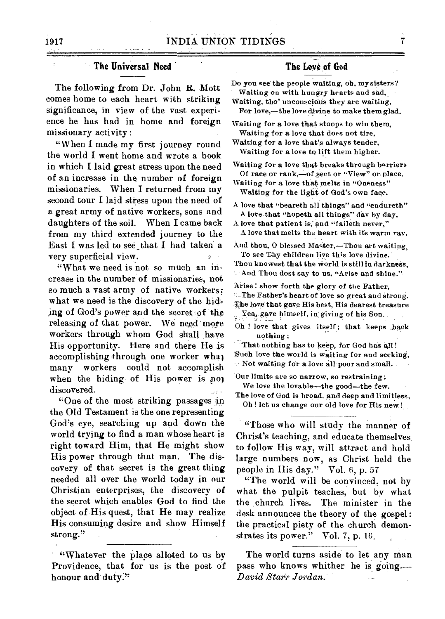## **The Universal Need**

The following from Dr. John R. Mott comes home to each heart with striking significance, in view of the vast experience he has had in home and foreign missionary activity :

"When I made my first journey round the world I went home and wrote a book in which I laid great stress upon the need of an increase in the number of foreign missionaries. When I returned from my second tour I laid stress upon the need of a great army of native workers, sons and daughters of the soil. When I came back from my third extended journey to the East I was led to see that I had taken a very superficial view.

"What we need is not so much an increase in the number of missionaries, not so much a vast army of native workers; what we need is the discovery of the hiding of God's power and the secret of the releasing of that power. We need more workers through whom God shall. have His opportunity. Here and there He is accomplishing through one worker what many workers could not accomplish when the hiding of His power is not discovered.

"One of the most striking passages in the Old Testament is the one representing God's eye, searching up and down the world trying to find a man whose heart is right toward Him, that He might show His power through that man. The discovery of that secret is the great thing needed all over the world today in our Christian enterprises, the discovery of the secret which enables God to find the object of His quest, that He may realize His consuming desire and show Himself strong."

## **The Love of God**

Do you see the people waiting, oh, my sisters? Waiting on with hungry hearts and sad,

Waiting, tho' unconscious they are waiting, For love,—the love divine to make them glad.

Waiting for a love that stoops to win them, Waiting for a love that does not tire,

Waiting for a love that's always tender, Waiting for a love to lift them higher.

Waiting for a love that breaks through barriers Of race or rank,—of sect or "View" or place,

Waiting for a love that melts in "Oneness" Waiting for the light of God's own face.

A love that "beareth all things" and "endureth" A love that "hopeth all things" day by day,

A love that patient is, and "faileth never," A love that melts the heart with its warm ray.

And thou, 0 blessed Master,—Thou art waiting, To see Thy children live this love divine.

Thou knowest that the world is still in darkness, And Thou dost say to us, "Arise and shine."

Arise! show forth the glory of the Father, <sup>2</sup> The Father's heart of love so great and strong. The love that gave His best, His dearest treasure Yea, gave himself, in giving of his Son.

Oh ! love that gives itself ; that keeps back nothing ;

That nothing has to keep, for God has all! 'Such love the world is waiting for and seeking, Not waiting for a love all poor and small.

Our limits are so narrow, so restraining; We love the lovable—the good—the few. The love of God is broad, and deep and limitless, Oh ! let us change our old love for His new!

"Those who will study the manner of Christ's teaching, and educate themselves to follow His way, will attract and hold large numbers now, as Christ held the people in His day." Vol. 6, p. 57

"The world will be convinced, not by what the pulpit teaches, but by what the church lives. The minister in the desk announces the theory of the gospel: the practical piety of the church demonstrates its power." Vol. 7, p. 16.

**honour and duty."** *David Starr Jordan.* 

<sup>&</sup>quot;Whatever the place alloted to us by The world turns aside to let any man Providence, that for us is the post of pass who knows whither he is going. Providence, that for us is the post of pass who knows whither he is going.<br>  $\begin{array}{c}\n\text{D } \text{a} \text{b} \text{b} \text{c} \text{d} \text{d} \text{d} \text{d} \text{e} \text{d} \text{e} \text{d} \text{e} \text{d} \text{d} \text{d} \text{e} \text{d} \text{e} \text{d} \text{e} \text{d} \text{e} \text{d} \text{e} \text{d} \$